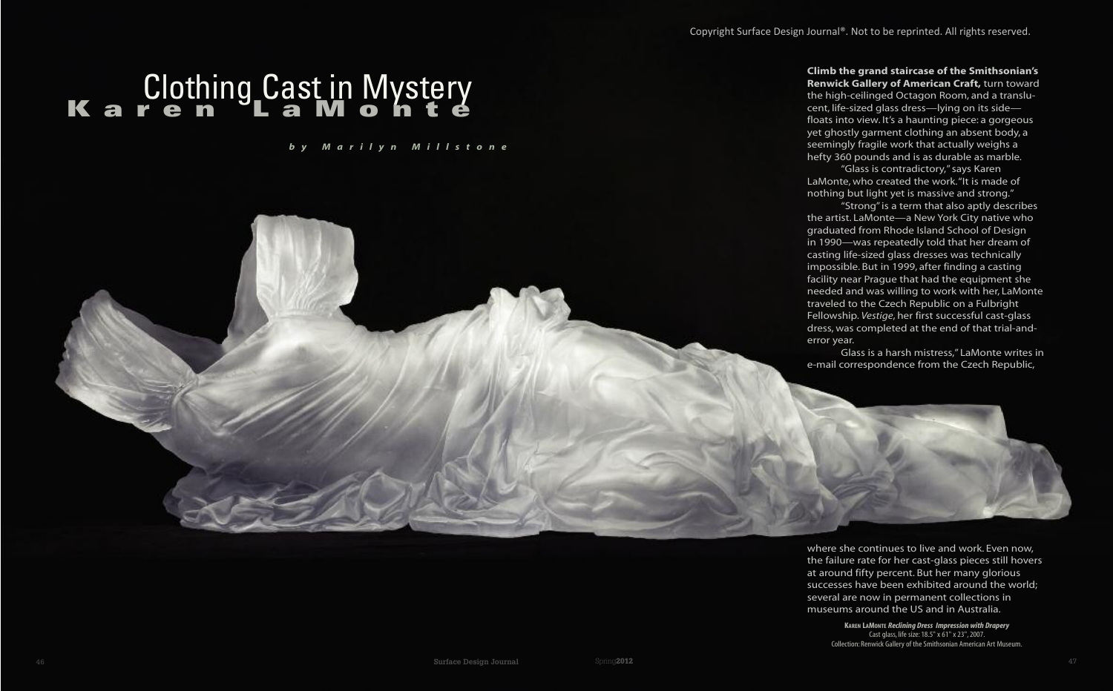

## **K a r e n L a M o n t e** Clothing Cast in Mystery

*b y M a r i l y n M i l l s t o n e*

**Climb the grand staircase of the Smithsonian's Renwick Gallery of American Craft,** turn toward the high-ceilinged Octagon Room, and a translucent, life-sized glass dress—lying on its side floats into view. It's a haunting piece: a gorgeous yet ghostly garment clothing an absent body, a seemingly fragile work that actually weighs a hefty 360 pounds and is as durable as marble. "Glass is contradictory," says Karen LaMonte, who created the work. "It is made of nothing but light yet is massive and strong." "Strong" is a term that also aptly describes the artist. LaMonte—a New York City native who graduated from Rhode Island School of Design in 1990—was repeatedly told that her dream of casting life-sized glass dresses was technically impossible. But in 1999, after finding a casting facility near Prague that had the equipment she needed and was willing to work with her, LaMonte traveled to the Czech Republic on a Fulbright Fellowship. *Vestige*, her first successful cast-glass dress, was completed at the end of that trial-anderror year.

Glass is a harsh mistress," LaMonte writes in e-mail correspondence from the Czech Republic,

where she continues to live and work. Even now, the failure rate for her cast-glass pieces still hovers at around fifty percent. But her many glorious successes have been exhibited around the world; several are now in permanent collections in museums around the US and in Australia.

**KAREN LAMONTE** *Reclining Dress Impression with Drapery* Cast glass, life size: 18.5" x 61" x 23", 2007. Collection: Renwick Gallery of the Smithsonian American Art Museum.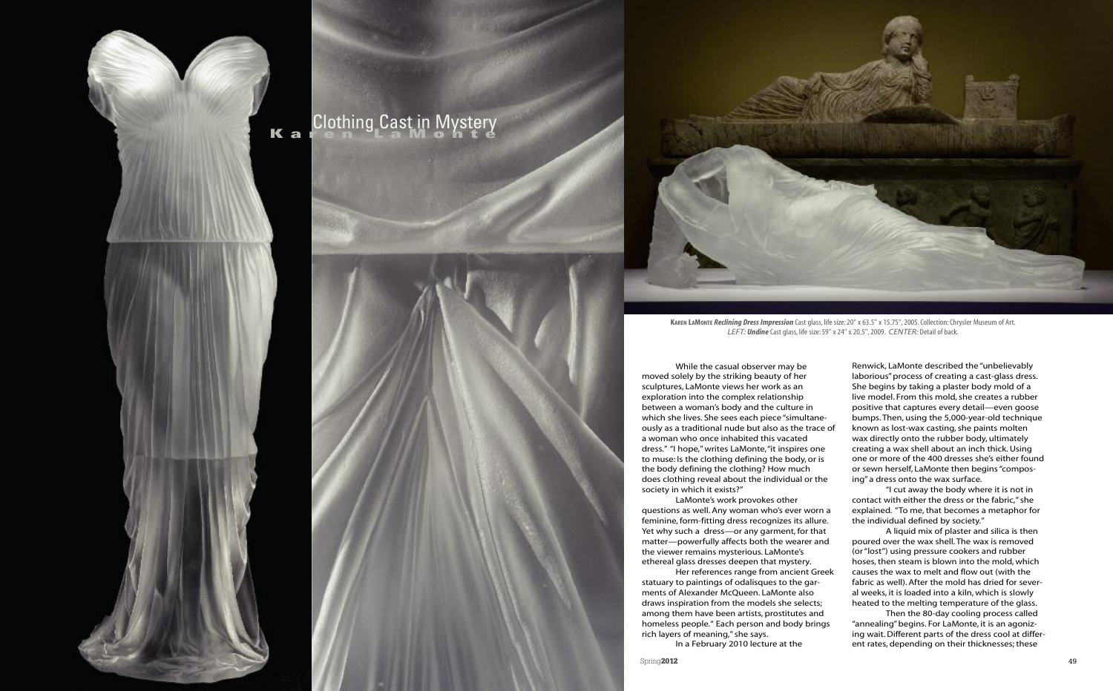

## **K a Clothing Cast in Mystery**



**KAREN LAMONTE** *Reclining Dress Impression* Cast glass, life size: 20" x 63.5" x 15.75", 2005. Collection: Chrysler Museum of Art. *LEFT: Undine* Cast glass, life size: 59" x 24" x 20.5", 2009. *CENTER:* Detail of back.

Spring**2012** 49

While the casual observer may be moved solely by the striking beauty of her sculptures, LaMonte views her work as an exploration into the complex relationship between a woman's body and the culture in which she lives. She sees each piece "simultaneously as a traditional nude but also as the trace of a woman who once inhabited this vacated dress." "I hope," writes LaMonte, "it inspires one to muse: Is the clothing defining the body, or is the body defining the clothing? How much does clothing reveal about the individual or the society in which it exists?"

LaMonte's work provokes other questions as well. Any woman who's ever worn a feminine, form-fitting dress recognizes its allure. Yet why such a dress—or any garment, for that matter—powerfully affects both the wearer and the viewer remains mysterious. LaMonte's ethereal glass dresses deepen that mystery.

Her references range from ancient Greek statuary to paintings of odalisques to the garments of Alexander McQueen. LaMonte also draws inspiration from the models she selects; among them have been artists, prostitutes and homeless people." Each person and body brings rich layers of meaning," she says.

In a February 2010 lecture at the

Renwick, LaMonte described the "unbelievably laborious" process of creating a cast-glass dress. She begins by taking a plaster body mold of a live model. From this mold, she creates a rubber positive that captures every detail—even goose bumps. Then, using the 5,000-year-old technique known as lost-wax casting, she paints molten wax directly onto the rubber body, ultimately creating a wax shell about an inch thick. Using one or more of the 400 dresses she's either found or sewn herself, LaMonte then begins "composing" a dress onto the wax surface.

"I cut away the body where it is not in contact with either the dress or the fabric," she explained. "To me, that becomes a metaphor for the individual defined by society."

A liquid mix of plaster and silica is then poured over the wax shell. The wax is removed (or "lost") using pressure cookers and rubber hoses, then steam is blown into the mold, which causes the wax to melt and flow out (with the fabric as well). After the mold has dried for several weeks, it is loaded into a kiln, which is slowly heated to the melting temperature of the glass.

Then the 80-day cooling process called "annealing" begins. For LaMonte, it is an agonizing wait. Different parts of the dress cool at different rates, depending on their thicknesses; these